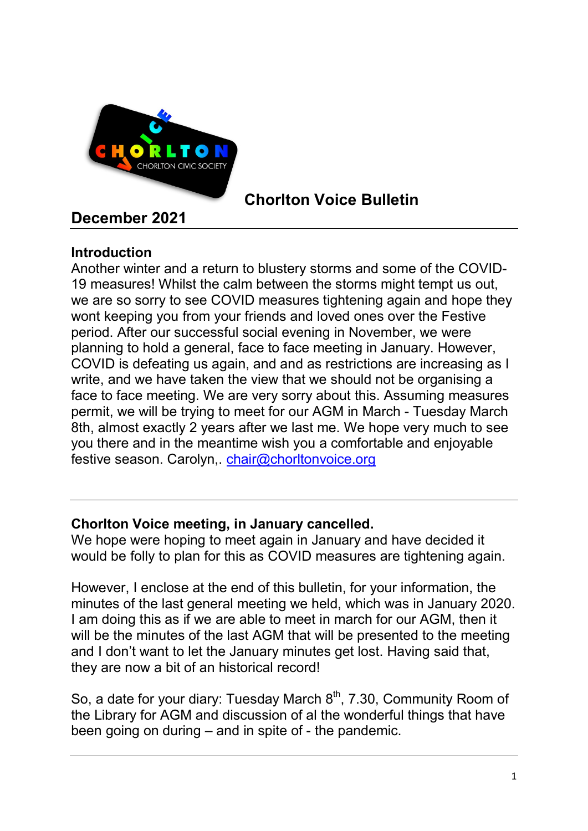

# Chorlton Voice Bulletin

# December 2021

# **Introduction**

Another winter and a return to blustery storms and some of the COVID-19 measures! Whilst the calm between the storms might tempt us out, we are so sorry to see COVID measures tightening again and hope they wont keeping you from your friends and loved ones over the Festive period. After our successful social evening in November, we were planning to hold a general, face to face meeting in January. However, COVID is defeating us again, and and as restrictions are increasing as I write, and we have taken the view that we should not be organising a face to face meeting. We are very sorry about this. Assuming measures permit, we will be trying to meet for our AGM in March - Tuesday March 8th, almost exactly 2 years after we last me. We hope very much to see you there and in the meantime wish you a comfortable and enjoyable festive season. Carolyn,. chair@chorltonvoice.org

# Chorlton Voice meeting, in January cancelled.

We hope were hoping to meet again in January and have decided it would be folly to plan for this as COVID measures are tightening again.

However, I enclose at the end of this bulletin, for your information, the minutes of the last general meeting we held, which was in January 2020. I am doing this as if we are able to meet in march for our AGM, then it will be the minutes of the last AGM that will be presented to the meeting and I don't want to let the January minutes get lost. Having said that, they are now a bit of an historical record!

So, a date for your diary: Tuesday March  $8<sup>th</sup>$ , 7.30, Community Room of the Library for AGM and discussion of al the wonderful things that have been going on during – and in spite of - the pandemic.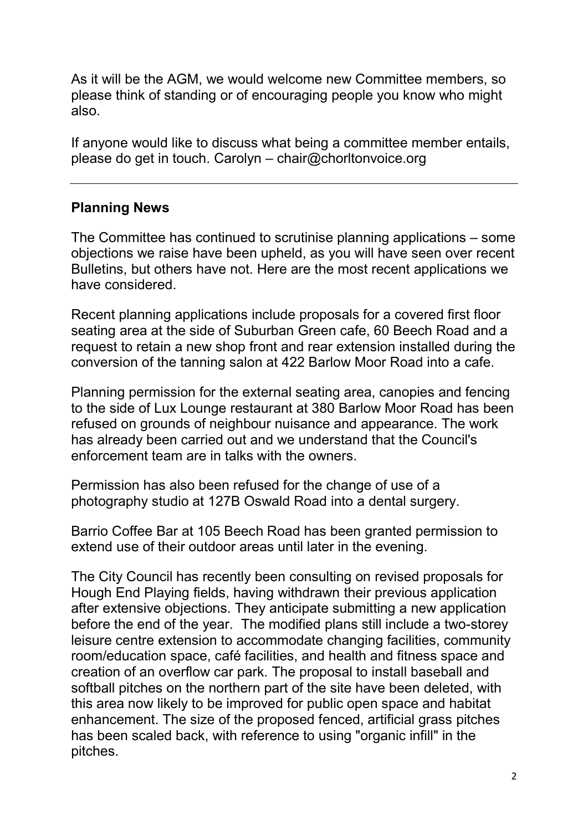As it will be the AGM, we would welcome new Committee members, so please think of standing or of encouraging people you know who might also.

If anyone would like to discuss what being a committee member entails, please do get in touch. Carolyn – chair@chorltonvoice.org

# Planning News

The Committee has continued to scrutinise planning applications – some objections we raise have been upheld, as you will have seen over recent Bulletins, but others have not. Here are the most recent applications we have considered.

Recent planning applications include proposals for a covered first floor seating area at the side of Suburban Green cafe, 60 Beech Road and a request to retain a new shop front and rear extension installed during the conversion of the tanning salon at 422 Barlow Moor Road into a cafe.

Planning permission for the external seating area, canopies and fencing to the side of Lux Lounge restaurant at 380 Barlow Moor Road has been refused on grounds of neighbour nuisance and appearance. The work has already been carried out and we understand that the Council's enforcement team are in talks with the owners.

Permission has also been refused for the change of use of a photography studio at 127B Oswald Road into a dental surgery.

Barrio Coffee Bar at 105 Beech Road has been granted permission to extend use of their outdoor areas until later in the evening.

The City Council has recently been consulting on revised proposals for Hough End Playing fields, having withdrawn their previous application after extensive objections. They anticipate submitting a new application before the end of the year. The modified plans still include a two-storey leisure centre extension to accommodate changing facilities, community room/education space, café facilities, and health and fitness space and creation of an overflow car park. The proposal to install baseball and softball pitches on the northern part of the site have been deleted, with this area now likely to be improved for public open space and habitat enhancement. The size of the proposed fenced, artificial grass pitches has been scaled back, with reference to using "organic infill" in the pitches.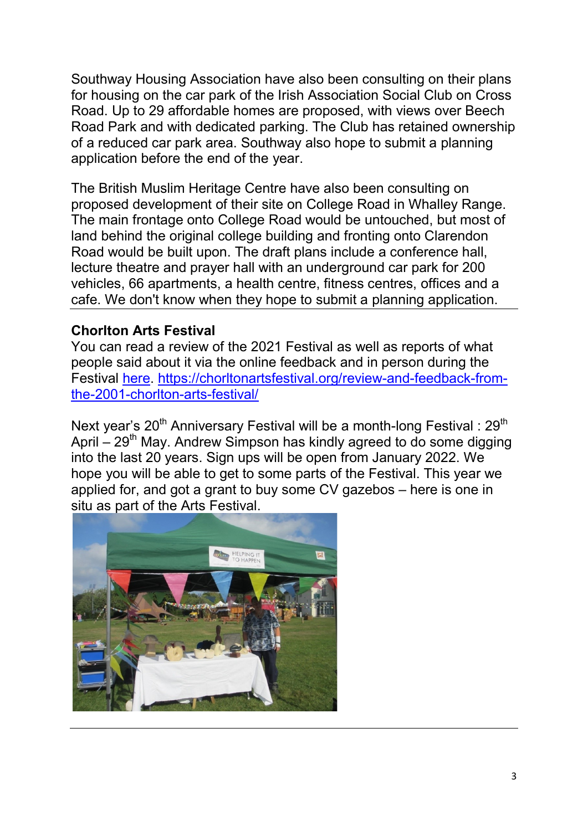Southway Housing Association have also been consulting on their plans for housing on the car park of the Irish Association Social Club on Cross Road. Up to 29 affordable homes are proposed, with views over Beech Road Park and with dedicated parking. The Club has retained ownership of a reduced car park area. Southway also hope to submit a planning application before the end of the year.

The British Muslim Heritage Centre have also been consulting on proposed development of their site on College Road in Whalley Range. The main frontage onto College Road would be untouched, but most of land behind the original college building and fronting onto Clarendon Road would be built upon. The draft plans include a conference hall, lecture theatre and prayer hall with an underground car park for 200 vehicles, 66 apartments, a health centre, fitness centres, offices and a cafe. We don't know when they hope to submit a planning application.

## Chorlton Arts Festival

You can read a review of the 2021 Festival as well as reports of what people said about it via the online feedback and in person during the Festival here. https://chorltonartsfestival.org/review-and-feedback-fromthe-2001-chorlton-arts-festival/

Next year's  $20<sup>th</sup>$  Anniversary Festival will be a month-long Festival :  $29<sup>th</sup>$ April  $-29<sup>th</sup>$  May. Andrew Simpson has kindly agreed to do some digging into the last 20 years. Sign ups will be open from January 2022. We hope you will be able to get to some parts of the Festival. This year we applied for, and got a grant to buy some CV gazebos – here is one in situ as part of the Arts Festival.

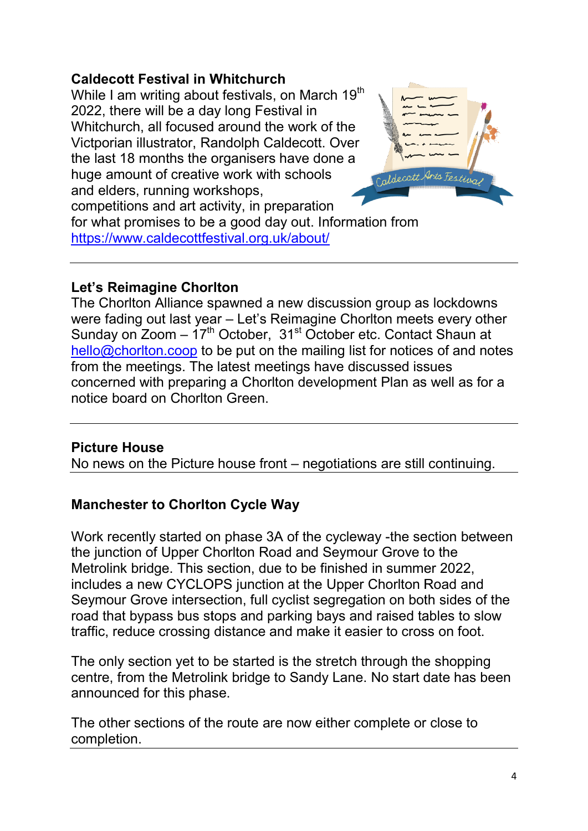# Caldecott Festival in Whitchurch

While I am writing about festivals, on March 19 $^{\rm th}$ 2022, there will be a day long Festival in Whitchurch, all focused around the work of the Victporian illustrator, Randolph Caldecott. Over the last 18 months the organisers have done a huge amount of creative work with schools and elders, running workshops, competitions and art activity, in preparation for what promises to be a good day out. Information from https://www.caldecottfestival.org.uk/about/ https://www.caldecottfestival.org.uk/about/ 2022, there will be a day long Festiv<br>Whitchurch, all focused around the<br>Victporian illustrator, Randolph Cald<br>the last 18 months the organisers h<br>huge amount of creative work with s<br>and elders, running workshops,



## Let's Reimagine Chorlton

The Chorlton Alliance spawned a new discussion group as lockdowns were fading out last year – Let's Reimagine Chorlton meets every other Sunday on Zoom  $-17<sup>th</sup>$  October, 31<sup>st</sup> October etc. Contact Shaun at hello@chorlton.coop to be put on the mailing list for notices of and notes <u>hello@chorlton.coop</u> to be put on the mailing list for notices of a<br>from the meetings. The latest meetings have discussed issues concerned with preparing a Chorlton development Plan as well as for a notice board on Chorlton Green.

## Picture House

No news on the Picture house front board on news on – negotiations are still continuing.

## Manchester to Chorlton Cycle Way

Work recently started on phase 3A of the cycleway -the section between the junction of Upper Chorlton Road and Seymour Grove to the Metrolink bridge. This section, due to be finished in summer 2022, includes a new CYCLOPS junction at the Upper Seymour Grove intersection, full cyclist segregation on both sides of the road that bypass bus stops and parking bays and raised tables to slow traffic, reduce crossing distance and make it easier to cross on foot. the junction of Upper Chorlton Road and Seymour Grove to the<br>Metrolink bridge. This section, due to be finished in summer 2022,<br>includes a new CYCLOPS junction at the Upper Chorlton Road and Grove intersection, full cyclist segregation on both sides of t<br>bypass bus stops and parking bays and raised tables to slov<br>duce crossing distance and make it easier to cross on foot.<br>section yet to be started is the stret

The only section yet to be started is the stretch through the shopping centre, from the Metrolink bridge to Sandy Lane. No start date has been announced for this phase. centre, from the Metrolink bridge to Sandy Lane. No start date has l<br>announced for this phase.<br>The other sections of the route are now either complete or close to

completion.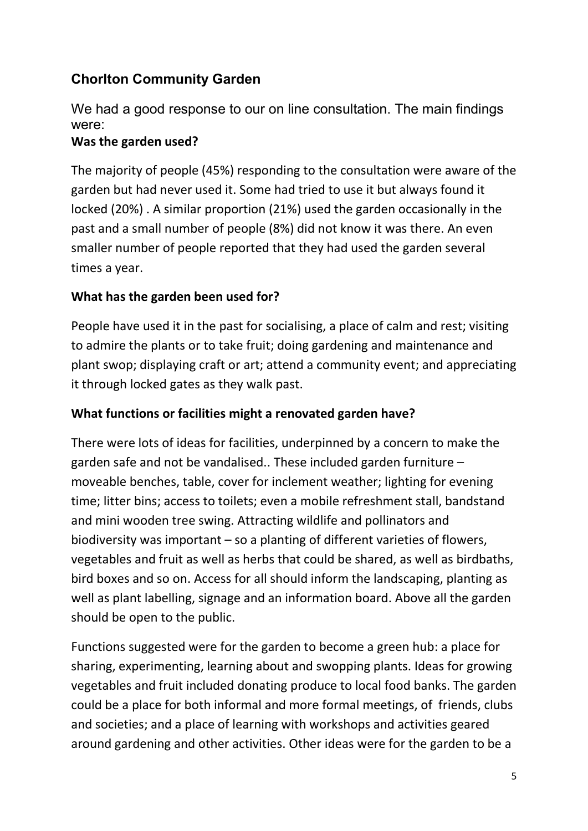# Chorlton Community Garden

We had a good response to our on line consultation. The main findings were:

## Was the garden used?

The majority of people (45%) responding to the consultation were aware of the garden but had never used it. Some had tried to use it but always found it locked (20%) . A similar proportion (21%) used the garden occasionally in the past and a small number of people (8%) did not know it was there. An even smaller number of people reported that they had used the garden several times a year.

## What has the garden been used for?

People have used it in the past for socialising, a place of calm and rest; visiting to admire the plants or to take fruit; doing gardening and maintenance and plant swop; displaying craft or art; attend a community event; and appreciating it through locked gates as they walk past.

## What functions or facilities might a renovated garden have?

There were lots of ideas for facilities, underpinned by a concern to make the garden safe and not be vandalised.. These included garden furniture – moveable benches, table, cover for inclement weather; lighting for evening time; litter bins; access to toilets; even a mobile refreshment stall, bandstand and mini wooden tree swing. Attracting wildlife and pollinators and biodiversity was important – so a planting of different varieties of flowers, vegetables and fruit as well as herbs that could be shared, as well as birdbaths, bird boxes and so on. Access for all should inform the landscaping, planting as well as plant labelling, signage and an information board. Above all the garden should be open to the public.

Functions suggested were for the garden to become a green hub: a place for sharing, experimenting, learning about and swopping plants. Ideas for growing vegetables and fruit included donating produce to local food banks. The garden could be a place for both informal and more formal meetings, of friends, clubs and societies; and a place of learning with workshops and activities geared around gardening and other activities. Other ideas were for the garden to be a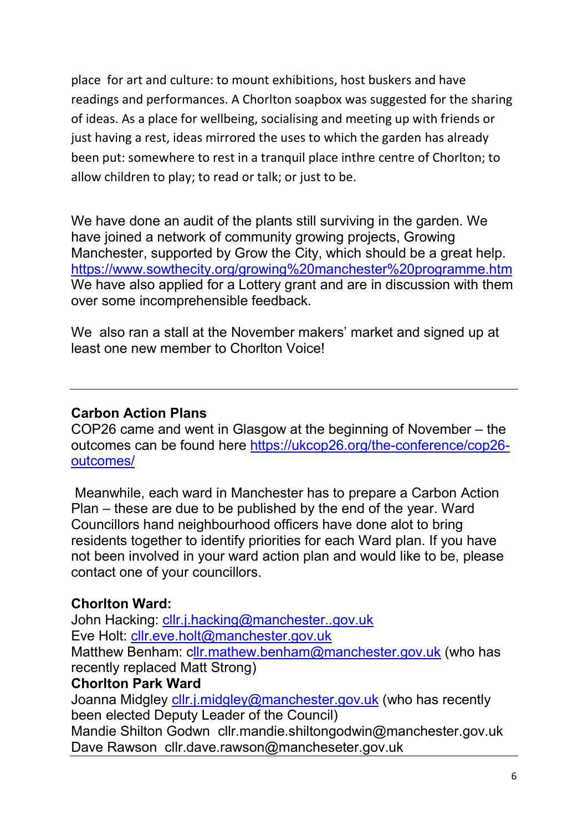place for art and culture: to mount exhibitions, host buskers and have readings and performances. A Chorlton soapbox was suggested for the sharing of ideas. As a place for wellbeing, socialising and meeting up with friends or just having a rest, ideas mirrored the uses to which the garden has already been put: somewhere to rest in a tranquil place inthre centre of Chorlton; to allow children to play; to read or talk; or just to be.

We have done an audit of the plants still surviving in the garden. We have joined a network of community growing projects, Growing Manchester, supported by Grow the City, which should be a great help. https://www.sowthecity.org/growing%20manchester%20programme.htm We have also applied for a Lottery grant and are in discussion with them over some incomprehensible feedback.

We also ran a stall at the November makers' market and signed up at least one new member to Chorlton Voice!

## Carbon Action Plans

COP26 came and went in Glasgow at the beginning of November – the outcomes can be found here https://ukcop26.org/the-conference/cop26 outcomes/

 Meanwhile, each ward in Manchester has to prepare a Carbon Action Plan – these are due to be published by the end of the year. Ward Councillors hand neighbourhood officers have done alot to bring residents together to identify priorities for each Ward plan. If you have not been involved in your ward action plan and would like to be, please contact one of your councillors.

## Chorlton Ward:

John Hacking: cllr.j.hacking@manchester..gov.uk Eve Holt: cllr.eve.holt@manchester.gov.uk Matthew Benham: cllr.mathew.benham@manchester.gov.uk (who has recently replaced Matt Strong)

## Chorlton Park Ward

Joanna Midgley cllr.j.midgley@manchester.gov.uk (who has recently been elected Deputy Leader of the Council)

Mandie Shilton Godwn cllr.mandie.shiltongodwin@manchester.gov.uk Dave Rawson cllr.dave.rawson@mancheseter.gov.uk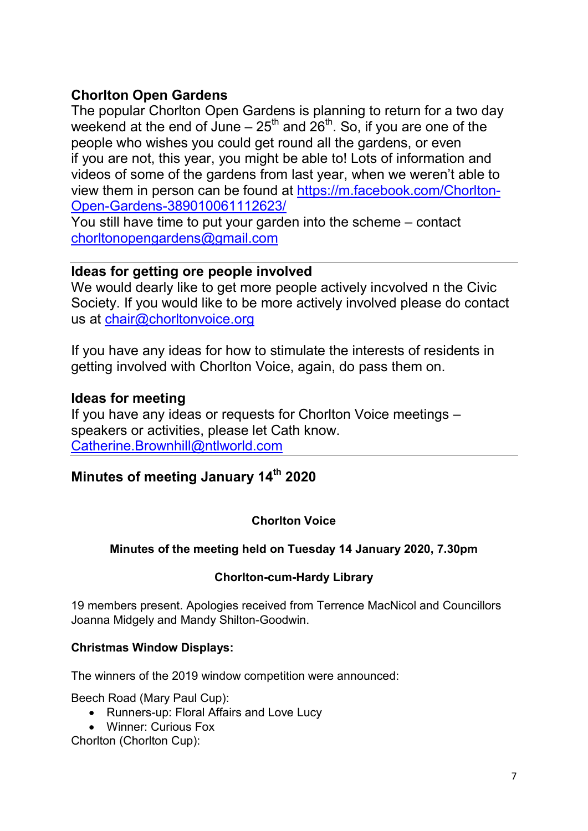## Chorlton Open Gardens

The popular Chorlton Open Gardens is planning to return for a two day weekend at the end of June –  $25<sup>th</sup>$  and  $26<sup>th</sup>$ . So, if you are one of the people who wishes you could get round all the gardens, or even if you are not, this year, you might be able to! Lots of information and videos of some of the gardens from last year, when we weren't able to view them in person can be found at https://m.facebook.com/Chorlton-Open-Gardens-389010061112623/

You still have time to put your garden into the scheme – contact chorltonopengardens@gmail.com

## Ideas for getting ore people involved

We would dearly like to get more people actively incvolved n the Civic Society. If you would like to be more actively involved please do contact us at chair@chorltonvoice.org

If you have any ideas for how to stimulate the interests of residents in getting involved with Chorlton Voice, again, do pass them on.

## Ideas for meeting

If you have any ideas or requests for Chorlton Voice meetings – speakers or activities, please let Cath know. Catherine.Brownhill@ntlworld.com

# Minutes of meeting January 14<sup>th</sup> 2020

## Chorlton Voice

#### Minutes of the meeting held on Tuesday 14 January 2020, 7.30pm

#### Chorlton-cum-Hardy Library

19 members present. Apologies received from Terrence MacNicol and Councillors Joanna Midgely and Mandy Shilton-Goodwin.

#### Christmas Window Displays:

The winners of the 2019 window competition were announced:

Beech Road (Mary Paul Cup):

- Runners-up: Floral Affairs and Love Lucy
- Winner: Curious Fox

Chorlton (Chorlton Cup):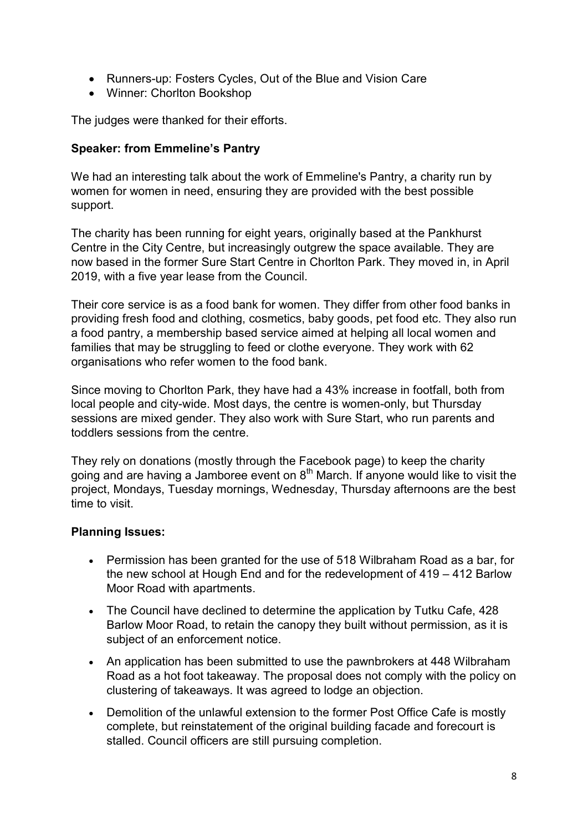- Runners-up: Fosters Cycles, Out of the Blue and Vision Care
- Winner: Chorlton Bookshop

The judges were thanked for their efforts.

#### Speaker: from Emmeline's Pantry

We had an interesting talk about the work of Emmeline's Pantry, a charity run by women for women in need, ensuring they are provided with the best possible support.

The charity has been running for eight years, originally based at the Pankhurst Centre in the City Centre, but increasingly outgrew the space available. They are now based in the former Sure Start Centre in Chorlton Park. They moved in, in April 2019, with a five year lease from the Council.

Their core service is as a food bank for women. They differ from other food banks in providing fresh food and clothing, cosmetics, baby goods, pet food etc. They also run a food pantry, a membership based service aimed at helping all local women and families that may be struggling to feed or clothe everyone. They work with 62 organisations who refer women to the food bank.

Since moving to Chorlton Park, they have had a 43% increase in footfall, both from local people and city-wide. Most days, the centre is women-only, but Thursday sessions are mixed gender. They also work with Sure Start, who run parents and toddlers sessions from the centre.

They rely on donations (mostly through the Facebook page) to keep the charity going and are having a Jamboree event on  $8<sup>th</sup>$  March. If anyone would like to visit the project, Mondays, Tuesday mornings, Wednesday, Thursday afternoons are the best time to visit.

#### Planning Issues:

- Permission has been granted for the use of 518 Wilbraham Road as a bar, for the new school at Hough End and for the redevelopment of 419 – 412 Barlow Moor Road with apartments.
- The Council have declined to determine the application by Tutku Cafe, 428 Barlow Moor Road, to retain the canopy they built without permission, as it is subject of an enforcement notice.
- An application has been submitted to use the pawnbrokers at 448 Wilbraham Road as a hot foot takeaway. The proposal does not comply with the policy on clustering of takeaways. It was agreed to lodge an objection.
- Demolition of the unlawful extension to the former Post Office Cafe is mostly complete, but reinstatement of the original building facade and forecourt is stalled. Council officers are still pursuing completion.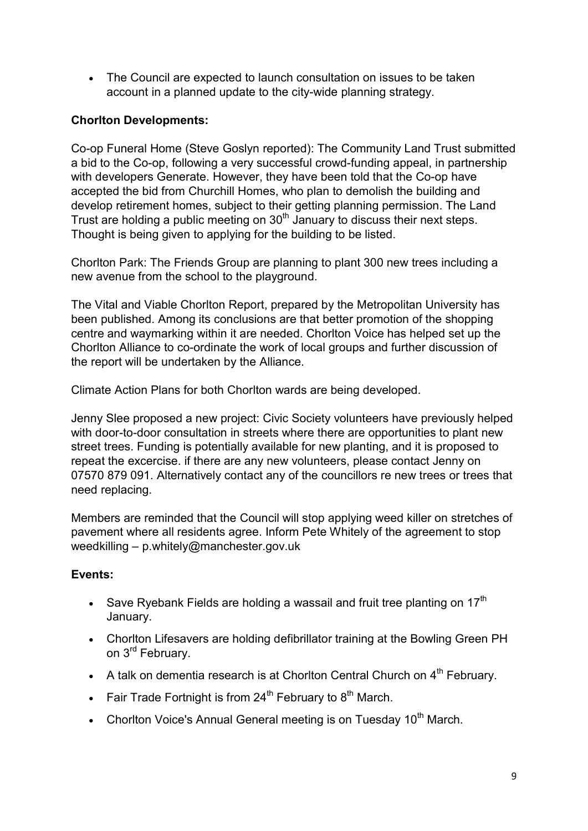The Council are expected to launch consultation on issues to be taken account in a planned update to the city-wide planning strategy.

### Chorlton Developments:

Co-op Funeral Home (Steve Goslyn reported): The Community Land Trust submitted a bid to the Co-op, following a very successful crowd-funding appeal, in partnership with developers Generate. However, they have been told that the Co-op have accepted the bid from Churchill Homes, who plan to demolish the building and develop retirement homes, subject to their getting planning permission. The Land Trust are holding a public meeting on  $30<sup>th</sup>$  January to discuss their next steps. Thought is being given to applying for the building to be listed.

Chorlton Park: The Friends Group are planning to plant 300 new trees including a new avenue from the school to the playground.

The Vital and Viable Chorlton Report, prepared by the Metropolitan University has been published. Among its conclusions are that better promotion of the shopping centre and waymarking within it are needed. Chorlton Voice has helped set up the Chorlton Alliance to co-ordinate the work of local groups and further discussion of the report will be undertaken by the Alliance.

Climate Action Plans for both Chorlton wards are being developed.

Jenny Slee proposed a new project: Civic Society volunteers have previously helped with door-to-door consultation in streets where there are opportunities to plant new street trees. Funding is potentially available for new planting, and it is proposed to repeat the excercise. if there are any new volunteers, please contact Jenny on 07570 879 091. Alternatively contact any of the councillors re new trees or trees that need replacing.

Members are reminded that the Council will stop applying weed killer on stretches of pavement where all residents agree. Inform Pete Whitely of the agreement to stop weedkilling – p.whitely@manchester.gov.uk

#### Events:

- Save Ryebank Fields are holding a wassail and fruit tree planting on 17<sup>th</sup> January.
- Chorlton Lifesavers are holding defibrillator training at the Bowling Green PH on 3<sup>rd</sup> February.
- A talk on dementia research is at Chorlton Central Church on  $4<sup>th</sup>$  February.
- Fair Trade Fortnight is from  $24^{th}$  February to  $8^{th}$  March.
- Chorlton Voice's Annual General meeting is on Tuesday  $10<sup>th</sup>$  March.